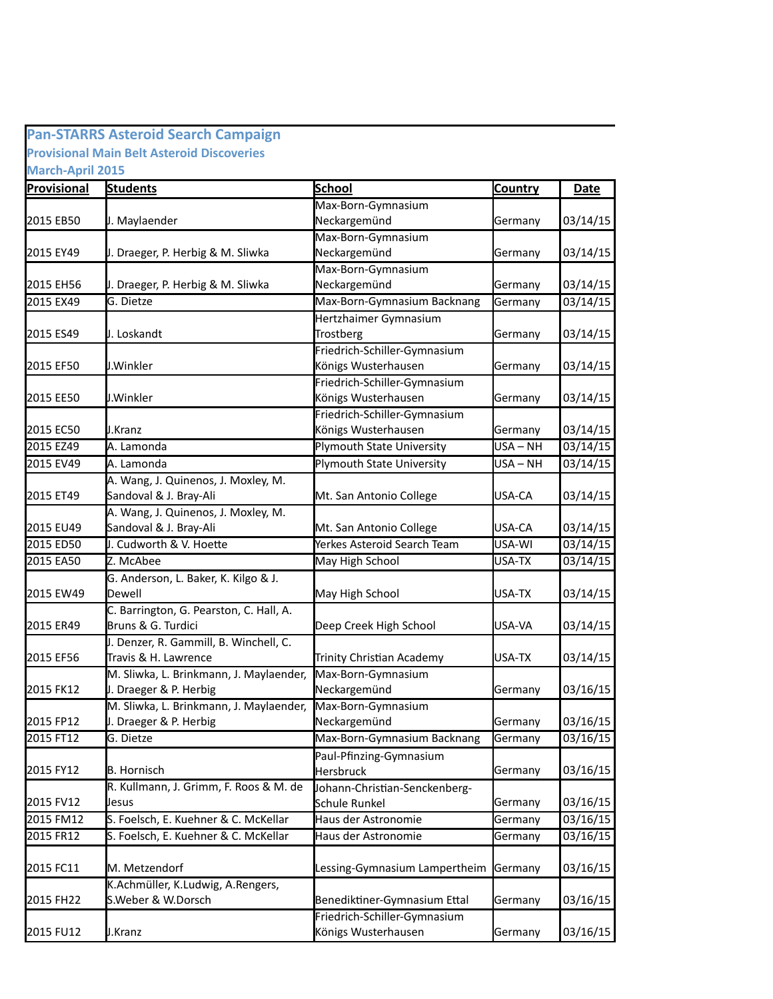## **Pan-STARRS Asteroid Search Campaign Provisional Main Belt Asteroid Discoveries March-April 2015**

**Provisional Students and School School Country and Date** 2015 EB50  $\qquad$  J. Maylaender  $\qquad \qquad$  Neckargemünd  $\qquad \qquad$  Germany  $\qquad 03/14/15$ 2015 EY49 Germany 03/14/15 J. Draeger, P. Herbig & M. Sliwka 2015 EH56 U. Draeger, P. Herbig & M. Sliwka Neckargemünd Germany 103/14/15 2015 EX49 G. Dietze Max-Born-Gymnasium Backnang Germany 03/14/15 2015 ES49 Germany 03/14/15 2015 EF50  $\mu$ .Winkler Germany 103/14/15 2015 EE50 duit U.Winkler States States (Königs Wusterhausen Germany 193/14/15 2015 EC50 U.Kranz **Germany 1. Exemple 2016** Königs Wusterhausen **Germany 103/14/15** 2015 EZ49 A. Lamonda **Plymouth State University** USA – NH 03/14/15 2015 EV49 A. Lamonda **Plymouth State University** USA – NH 03/14/15 2015 ET49 Sandoval & J. Bray-Ali Mt. San Antonio College USA-CA 03/14/15 2015 EU49 Sandoval & J. Bray-Ali Mt. San Antonio College USA-CA 03/14/15 2015 ED50 D. Cudworth & V. Hoette Netter Merkes Asteroid Search Team USA-WI 203/14/15 2015 EA50 May High School National May High School NuSA-TX 03/14/15 2015 EW49 May High School USA-TX 03/14/15 2015 ER49 Bruns & G. Turdici **Deep Creek High School** USA-VA 03/14/15 2015 EF56 Travis & H. Lawrence Trinity Christian Academy USA-TX 03/14/15 2015 FK12  $\qquad$  J. Draeger & P. Herbig  $\qquad \qquad$  Neckargemünd  $\qquad \qquad$  Germany  $\qquad$  03/16/15 2015 FP12 Germany 03/16/15 J. Draeger & P. Herbig 2015 FT12 G. Dietze Max-Born-Gymnasium Backnang Germany 03/16/15 2015 FY12 B. Hornisch **Germany 1994** Hersbruck **Germany 193/16/15** 2015 FV12 | Uesus | November 2015 | Conserved Schule Runkel | November 2016 | Germany | 03/16/15 2015 FM12 S. Foelsch, E. Kuehner & C. McKellar Haus der Astronomie Sermany 103/16/15 2015 FR12 S. Foelsch, E. Kuehner & C. McKellar Haus der Astronomie Sermany 103/16/15 2015 FC11 M. Metzendorf **Lessing-Gymnasium Lampertheim** Germany 103/16/15 2015 FH22 S.Weber & W.Dorsch Benediktiner-Gymnasium Ettal Germany 03/16/15 2015 FU12 U.Kranz **Germany 1988** Königs Wusterhausen Germany 193/16/15 J. Maylaender Max-Born-Gymnasium Max-Born-Gymnasium Neckargemünd Max-Born-Gymnasium Neckargemünd J. Loskandt Hertzhaimer Gymnasium **Trostberg** Friedrich-Schiller-Gymnasium Friedrich-Schiller-Gymnasium J.Kranz Friedrich-Schiller-Gymnasium A. Lamonda A. Lamonda A. Wang, J. Quinenos, J. Moxley, M. Sandoval & J. Bray-Ali A. Wang, J. Quinenos, J. Moxley, M. Sandoval & J. Bray-Ali Z. McAbee G. Anderson, L. Baker, K. Kilgo & J. Dewell C. Barrington, G. Pearston, C. Hall, A. Bruns & G. Turdici J. Denzer, R. Gammill, B. Winchell, C. Travis & H. Lawrence M. Sliwka, L. Brinkmann, J. Maylaender, Max-Born-Gymnasium Neckargemünd M. Sliwka, L. Brinkmann, J. Maylaender, Max-Born-Gymnasium Neckargemünd B. Hornisch Paul-Pfinzing-Gymnasium Hersbruck R. Kullmann, J. Grimm, F. Roos & M. de Jesus Johann-Christian-Senckenberg-Schule Runkel K.Achmüller, K.Ludwig, A.Rengers, J.Kranz Friedrich-Schiller-Gymnasium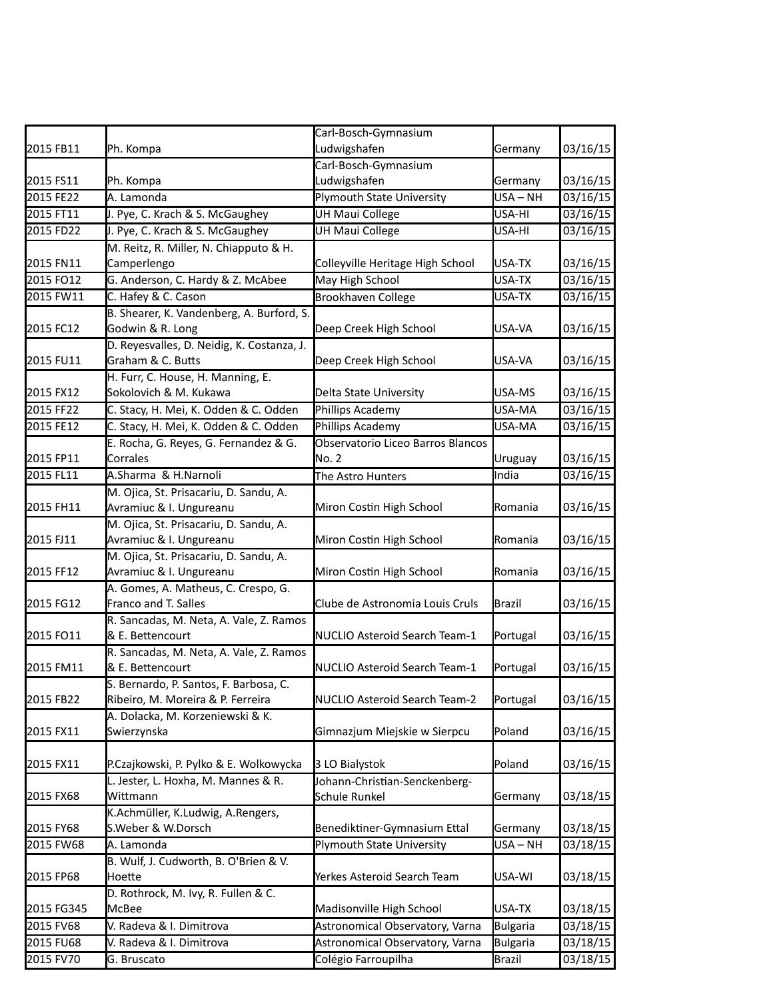| 2015 FB11  | Ph. Kompa                                  | Carl-Bosch-Gymnasium<br>Ludwigshafen | Germany         | 03/16/15              |
|------------|--------------------------------------------|--------------------------------------|-----------------|-----------------------|
|            |                                            | Carl-Bosch-Gymnasium                 |                 |                       |
| 2015 FS11  | Ph. Kompa                                  | Ludwigshafen                         | Germany         | 03/16/15              |
|            | A. Lamonda                                 |                                      | USA-NH          |                       |
| 2015 FE22  |                                            | Plymouth State University            |                 | 03/16/15              |
| 2015 FT11  | J. Pye, C. Krach & S. McGaughey            | UH Maui College                      | USA-HI          | 03/16/15              |
| 2015 FD22  | J. Pye, C. Krach & S. McGaughey            | UH Maui College                      | USA-HI          | 03/16/15              |
|            | M. Reitz, R. Miller, N. Chiapputo & H.     |                                      |                 |                       |
| 2015 FN11  | Camperlengo                                | Colleyville Heritage High School     | USA-TX          | 03/16/15              |
| 2015 FO12  | G. Anderson, C. Hardy & Z. McAbee          | May High School                      | USA-TX          | 03/16/15              |
| 2015 FW11  | C. Hafey & C. Cason                        | <b>Brookhaven College</b>            | USA-TX          | 03/16/15              |
|            | B. Shearer, K. Vandenberg, A. Burford, S.  |                                      |                 |                       |
| 2015 FC12  | Godwin & R. Long                           | Deep Creek High School               | USA-VA          | 03/16/15              |
|            | D. Reyesvalles, D. Neidig, K. Costanza, J. |                                      |                 |                       |
| 2015 FU11  | Graham & C. Butts                          | Deep Creek High School               | USA-VA          | 03/16/15              |
|            | H. Furr, C. House, H. Manning, E.          |                                      |                 |                       |
| 2015 FX12  | Sokolovich & M. Kukawa                     | Delta State University               | USA-MS          | 03/16/15              |
| 2015 FF22  | C. Stacy, H. Mei, K. Odden & C. Odden      | Phillips Academy                     | USA-MA          | 03/16/15              |
| 2015 FE12  | C. Stacy, H. Mei, K. Odden & C. Odden      | Phillips Academy                     | USA-MA          | 03/16/15              |
|            | E. Rocha, G. Reyes, G. Fernandez & G.      | Observatorio Liceo Barros Blancos    |                 |                       |
| 2015 FP11  | Corrales                                   | No. 2                                | Uruguay         | 03/16/15              |
| 2015 FL11  | A.Sharma & H.Narnoli                       | The Astro Hunters                    | India           | 03/16/15              |
|            | M. Ojica, St. Prisacariu, D. Sandu, A.     |                                      |                 |                       |
| 2015 FH11  | Avramiuc & I. Ungureanu                    | Miron Costin High School             | Romania         | 03/16/15              |
|            | M. Ojica, St. Prisacariu, D. Sandu, A.     |                                      |                 |                       |
| 2015 FJ11  | Avramiuc & I. Ungureanu                    | Miron Costin High School             | Romania         | 03/16/15              |
|            | M. Ojica, St. Prisacariu, D. Sandu, A.     |                                      |                 |                       |
| 2015 FF12  | Avramiuc & I. Ungureanu                    | Miron Costin High School             | Romania         | 03/16/15              |
|            | A. Gomes, A. Matheus, C. Crespo, G.        |                                      |                 |                       |
| 2015 FG12  | Franco and T. Salles                       | Clube de Astronomia Louis Cruls      | Brazil          | 03/16/15              |
|            | R. Sancadas, M. Neta, A. Vale, Z. Ramos    |                                      |                 |                       |
| 2015 FO11  | & E. Bettencourt                           | NUCLIO Asteroid Search Team-1        | Portugal        | 03/16/15              |
|            | R. Sancadas, M. Neta, A. Vale, Z. Ramos    |                                      |                 |                       |
| 2015 FM11  | & E. Bettencourt                           | NUCLIO Asteroid Search Team-1        | Portugal        | 03/16/15              |
|            | S. Bernardo, P. Santos, F. Barbosa, C.     |                                      |                 |                       |
| 2015 FB22  | Ribeiro, M. Moreira & P. Ferreira          | NUCLIO Asteroid Search Team-2        | Portugal        | 03/16/15              |
|            | A. Dolacka, M. Korzeniewski & K.           |                                      |                 |                       |
| 2015 FX11  | Swierzynska                                | Gimnazjum Miejskie w Sierpcu         | Poland          | 03/16/15              |
|            |                                            |                                      |                 |                       |
| 2015 FX11  | P.Czajkowski, P. Pylko & E. Wolkowycka     | 3 LO Bialystok                       | Poland          | 03/16/15              |
|            | L. Jester, L. Hoxha, M. Mannes & R.        | Johann-Christian-Senckenberg-        |                 |                       |
| 2015 FX68  | Wittmann                                   | Schule Runkel                        | Germany         | 03/18/15              |
|            | K.Achmüller, K.Ludwig, A.Rengers,          |                                      |                 |                       |
| 2015 FY68  | S.Weber & W.Dorsch                         | Benediktiner-Gymnasium Ettal         | Germany         | 03/18/15              |
| 2015 FW68  | A. Lamonda                                 | Plymouth State University            | USA-NH          | 03/18/15              |
|            | B. Wulf, J. Cudworth, B. O'Brien & V.      |                                      |                 |                       |
| 2015 FP68  | Hoette                                     | Yerkes Asteroid Search Team          | USA-WI          | 03/18/15              |
|            | D. Rothrock, M. Ivy, R. Fullen & C.        |                                      |                 |                       |
| 2015 FG345 | McBee                                      | Madisonville High School             | USA-TX          | 03/18/15              |
| 2015 FV68  | V. Radeva & I. Dimitrova                   | Astronomical Observatory, Varna      | <b>Bulgaria</b> | 03/18/15              |
| 2015 FU68  | V. Radeva & I. Dimitrova                   | Astronomical Observatory, Varna      | <b>Bulgaria</b> | $\overline{0}3/18/15$ |
| 2015 FV70  | G. Bruscato                                | Colégio Farroupilha                  | <b>Brazil</b>   | 03/18/15              |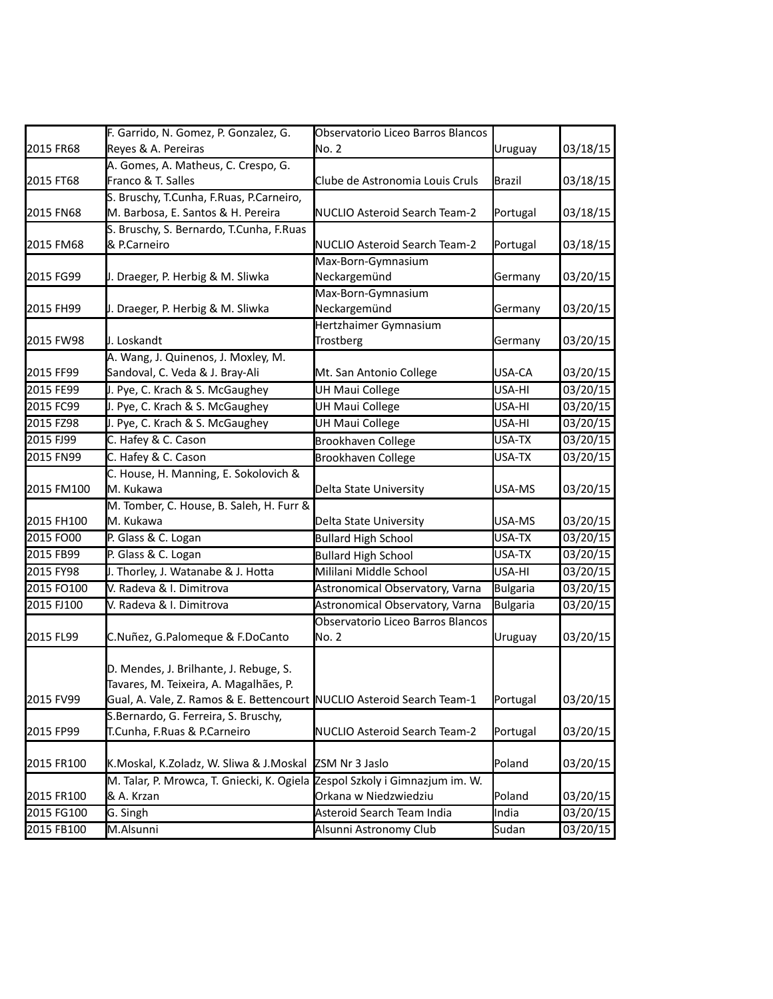|            | F. Garrido, N. Gomez, P. Gonzalez, G.                                  | Observatorio Liceo Barros Blancos |                 |          |
|------------|------------------------------------------------------------------------|-----------------------------------|-----------------|----------|
| 2015 FR68  | Reyes & A. Pereiras                                                    | No. 2                             | Uruguay         | 03/18/15 |
|            | A. Gomes, A. Matheus, C. Crespo, G.                                    |                                   |                 |          |
| 2015 FT68  | Franco & T. Salles                                                     | Clube de Astronomia Louis Cruls   | Brazil          | 03/18/15 |
|            | S. Bruschy, T.Cunha, F.Ruas, P.Carneiro,                               |                                   |                 |          |
| 2015 FN68  | M. Barbosa, E. Santos & H. Pereira                                     | NUCLIO Asteroid Search Team-2     | Portugal        | 03/18/15 |
|            | S. Bruschy, S. Bernardo, T.Cunha, F.Ruas                               |                                   |                 |          |
| 2015 FM68  | & P.Carneiro                                                           | NUCLIO Asteroid Search Team-2     | Portugal        | 03/18/15 |
|            |                                                                        | Max-Born-Gymnasium                |                 |          |
| 2015 FG99  | J. Draeger, P. Herbig & M. Sliwka                                      | Neckargemünd                      | Germany         | 03/20/15 |
|            |                                                                        | Max-Born-Gymnasium                |                 |          |
| 2015 FH99  | J. Draeger, P. Herbig & M. Sliwka                                      | Neckargemünd                      | Germany         | 03/20/15 |
|            |                                                                        | Hertzhaimer Gymnasium             |                 |          |
| 2015 FW98  | J. Loskandt                                                            | Trostberg                         | Germany         | 03/20/15 |
|            | A. Wang, J. Quinenos, J. Moxley, M.                                    |                                   |                 |          |
| 2015 FF99  | Sandoval, C. Veda & J. Bray-Ali                                        | Mt. San Antonio College           | USA-CA          | 03/20/15 |
| 2015 FE99  | J. Pye, C. Krach & S. McGaughey                                        | <b>UH Maui College</b>            | USA-HI          | 03/20/15 |
| 2015 FC99  | J. Pye, C. Krach & S. McGaughey                                        | <b>UH Maui College</b>            | USA-HI          | 03/20/15 |
| 2015 FZ98  | J. Pye, C. Krach & S. McGaughey                                        | <b>UH Maui College</b>            | USA-HI          | 03/20/15 |
| 2015 FJ99  | C. Hafey & C. Cason                                                    | <b>Brookhaven College</b>         | USA-TX          | 03/20/15 |
| 2015 FN99  | C. Hafey & C. Cason                                                    | <b>Brookhaven College</b>         | USA-TX          | 03/20/15 |
|            | C. House, H. Manning, E. Sokolovich &                                  |                                   |                 |          |
| 2015 FM100 | M. Kukawa                                                              | Delta State University            | USA-MS          | 03/20/15 |
|            | M. Tomber, C. House, B. Saleh, H. Furr &                               |                                   |                 |          |
| 2015 FH100 | M. Kukawa                                                              | Delta State University            | USA-MS          | 03/20/15 |
| 2015 FO00  | P. Glass & C. Logan                                                    | <b>Bullard High School</b>        | USA-TX          | 03/20/15 |
| 2015 FB99  | P. Glass & C. Logan                                                    | <b>Bullard High School</b>        | USA-TX          | 03/20/15 |
| 2015 FY98  | J. Thorley, J. Watanabe & J. Hotta                                     | Mililani Middle School            | USA-HI          | 03/20/15 |
| 2015 FO100 | V. Radeva & I. Dimitrova                                               | Astronomical Observatory, Varna   | Bulgaria        | 03/20/15 |
| 2015 FJ100 | V. Radeva & I. Dimitrova                                               | Astronomical Observatory, Varna   | <b>Bulgaria</b> | 03/20/15 |
|            |                                                                        | Observatorio Liceo Barros Blancos |                 |          |
| 2015 FL99  | C.Nuñez, G.Palomeque & F.DoCanto                                       | No. 2                             | Uruguay         | 03/20/15 |
|            |                                                                        |                                   |                 |          |
|            | D. Mendes, J. Brilhante, J. Rebuge, S.                                 |                                   |                 |          |
|            | Tavares, M. Teixeira, A. Magalhães, P.                                 |                                   |                 |          |
| 2015 FV99  | Gual, A. Vale, Z. Ramos & E. Bettencourt NUCLIO Asteroid Search Team-1 |                                   | Portugal        | 03/20/15 |
|            | S.Bernardo, G. Ferreira, S. Bruschy,                                   |                                   |                 |          |
| 2015 FP99  | T.Cunha, F.Ruas & P.Carneiro                                           | NUCLIO Asteroid Search Team-2     | Portugal        | 03/20/15 |
|            |                                                                        |                                   |                 |          |
| 2015 FR100 | K.Moskal, K.Zoladz, W. Sliwa & J.Moskal                                | ZSM Nr 3 Jaslo                    | Poland          | 03/20/15 |
|            | M. Talar, P. Mrowca, T. Gniecki, K. Ogiela                             | Zespol Szkoly i Gimnazjum im. W.  |                 |          |
| 2015 FR100 | & A. Krzan                                                             | Orkana w Niedzwiedziu             | Poland          | 03/20/15 |
| 2015 FG100 | G. Singh                                                               | Asteroid Search Team India        | India           | 03/20/15 |
| 2015 FB100 | M.Alsunni                                                              | Alsunni Astronomy Club            | Sudan           | 03/20/15 |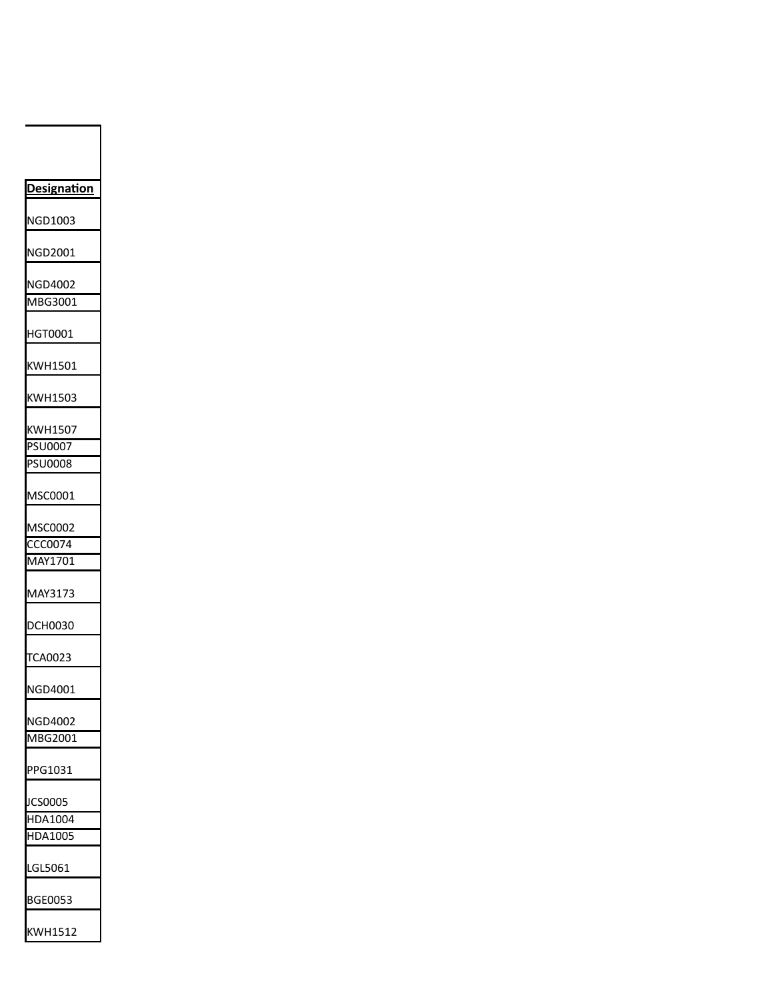| <u>Designation</u>        |  |
|---------------------------|--|
| NGD1003                   |  |
| NGD2001                   |  |
| NGD4002<br>MBG3001        |  |
| HGT0001                   |  |
| KWH1501                   |  |
| KWH1503                   |  |
| KWH1507<br>PSU0007        |  |
| PSU0008                   |  |
| MSC0001                   |  |
| MSC0002                   |  |
| CCC0074                   |  |
| MAY1701                   |  |
| MAY3173                   |  |
| DCH0030                   |  |
| <b>TCA0023</b>            |  |
| <b>JGD4001</b><br>ľ       |  |
| NGD4002                   |  |
| MBG2001                   |  |
| PPG1031                   |  |
| JCS0005                   |  |
| <b>HDA1004</b><br>HDA1005 |  |
| LGL5061                   |  |
| BGE0053                   |  |
| KWH1512                   |  |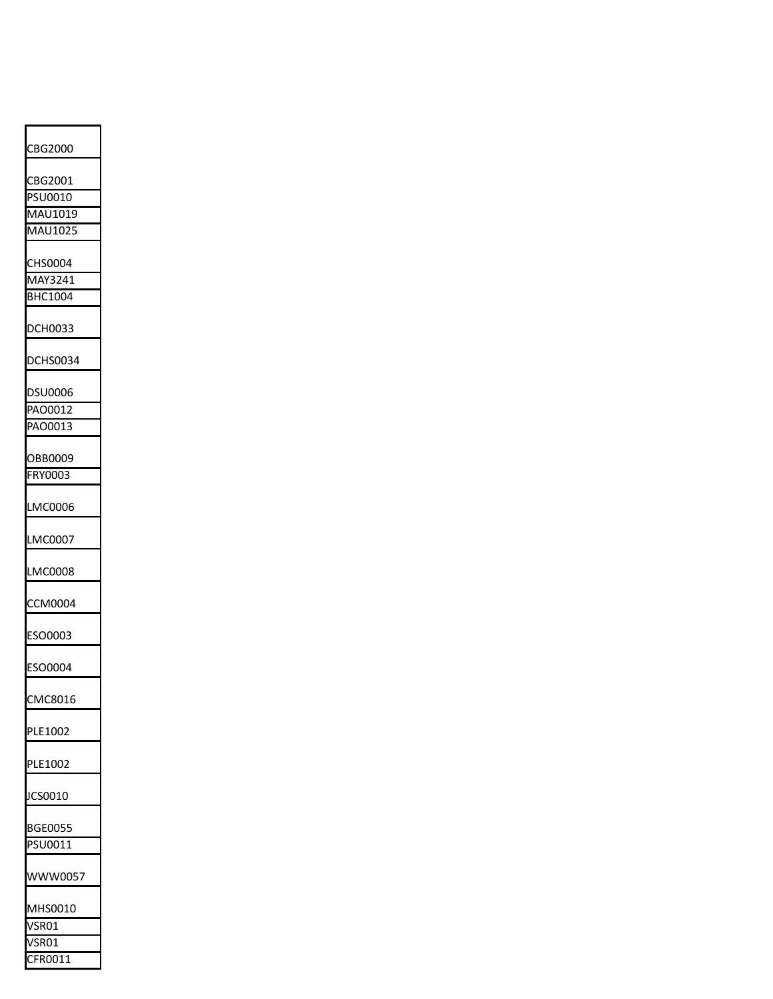| CBG2000        |
|----------------|
| CBG2001        |
| PSU0010        |
| MAU1019        |
|                |
| MAU1025        |
| CHS0004        |
| MAY3241        |
| BHC1004        |
|                |
| DCH0033        |
| DCHS0034       |
| DSU0006        |
| PAO0012        |
| PAO0013        |
|                |
| OBB0009        |
| FRY0003        |
|                |
| LMC0006        |
| LMC0007        |
| LMC0008        |
| CCM0004        |
| ESO0003        |
| ESO0004        |
| CMC8016        |
| PLE1002        |
| PLE1002        |
| JCS0010        |
| <b>BGE0055</b> |
| PSU0011        |
| WWW0057        |
| MHS0010        |
| VSR01          |
| 'SRO1          |
| FR0011         |
|                |